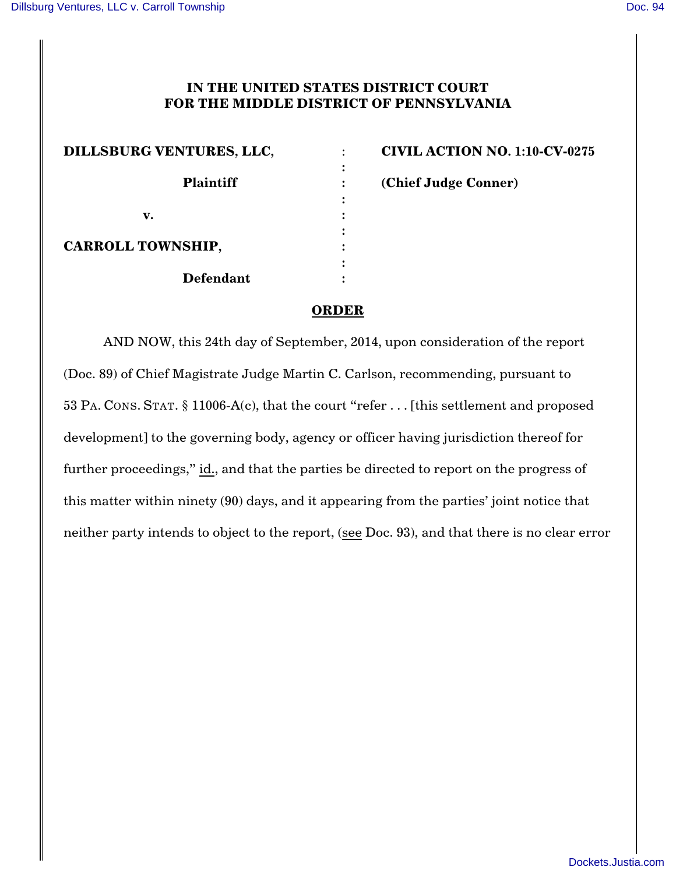## **IN THE UNITED STATES DISTRICT COURT FOR THE MIDDLE DISTRICT OF PENNSYLVANIA**

**:**

**:**

| DILLSBURG VENTURES, LLC, |  |
|--------------------------|--|
| <b>Plaintiff</b>         |  |
| v.                       |  |
| <b>CARROLL TOWNSHIP,</b> |  |
| <b>Defendant</b>         |  |

**CIVIL ACTION NO. 1:10-CV-0275 Plaintiff : (Chief Judge Conner)**

## **ORDER**

AND NOW, this 24th day of September, 2014, upon consideration of the report (Doc. 89) of Chief Magistrate Judge Martin C. Carlson, recommending, pursuant to 53 PA. CONS. STAT. § 11006-A(c), that the court "refer . . . [this settlement and proposed development] to the governing body, agency or officer having jurisdiction thereof for further proceedings," id., and that the parties be directed to report on the progress of this matter within ninety (90) days, and it appearing from the parties' joint notice that neither party intends to object to the report, (see Doc. 93), and that there is no clear error